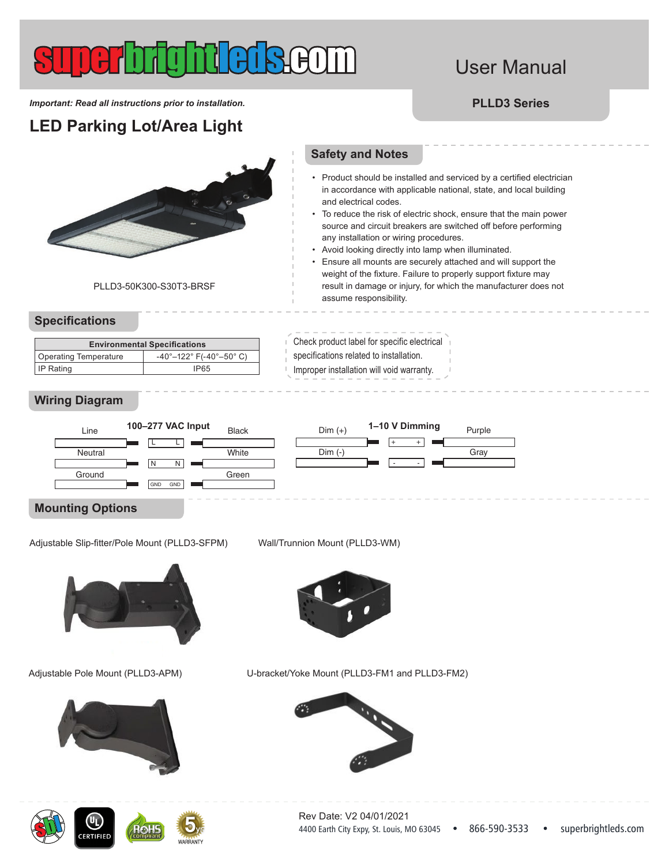# User Manual

*Important: Read all instructions prior to installation.* **PLLD3 Series**

**LED Parking Lot/Area Light**

PLLD3-50K300-S30T3-BRSF

### **Specifications**

| <b>Environmental Specifications</b> |                                                              |  |  |  |
|-------------------------------------|--------------------------------------------------------------|--|--|--|
| Operating Temperature               | $-40^{\circ} - 122^{\circ}$ F( $-40^{\circ} - 50^{\circ}$ C) |  |  |  |
| I IP Rating                         | <b>IP65</b>                                                  |  |  |  |

### **Wiring Diagram**



## **Mounting Options**

.<br>Adjustable Slip-fitter/Pole Mount (PLLD3-SFPM)  $\mathsf{u}\mathsf{u}$  (r.f.



#### Adjustable Pole Mount (PLLD3-APM)



**RTIFIE** 

Wall/Trunnion Mount (PLLD3-WM)

 $- - -$ 

 $Dim (+)$ 

Dim (-)



U-bracket/Yoke Mount (PLLD3-FM1 and PLLD3-FM2)



• Product should be installed and serviced by a certified electrician

**Safety and Notes**

- in accordance with applicable national, state, and local building and electrical codes. To reduce the risk of electric shock, ensure that the main power
- source and circuit breakers are switched off before performing any installation or wiring procedures.
- Avoid looking directly into lamp when illuminated.

 $- - - -$ 

+ + - -

• Ensure all mounts are securely attached and will support the weight of the fixture. Failure to properly support fixture may result in damage or injury, for which the manufacturer does not assume responsibility.

Purple

 $\sim$   $-$ 

**Gray** 

Check product label for specific electrical specifications related to installation.

Improper installation will void warranty.

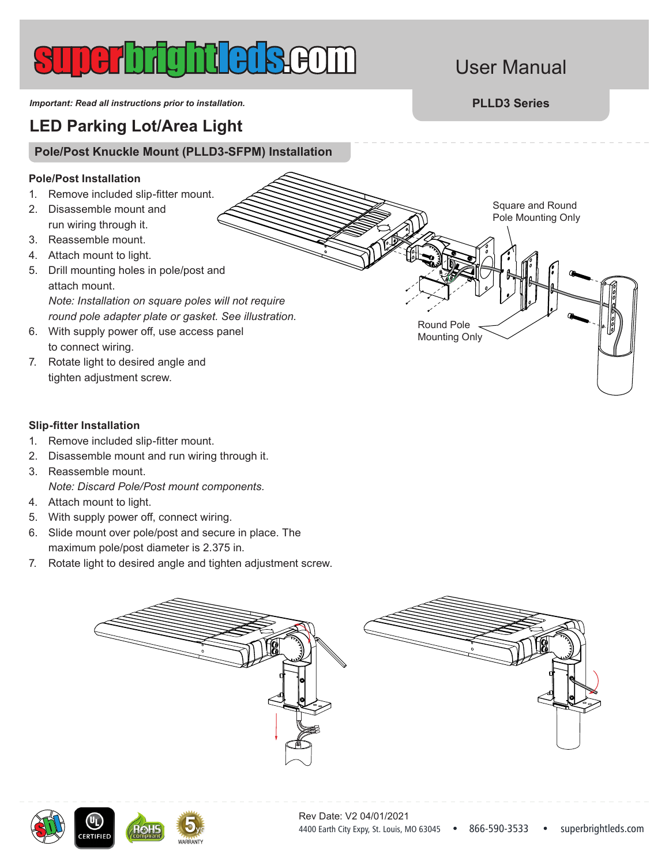# User Manual

Square and Round Pole Mounting Only

*Important: Read all instructions prior to installation.* **PLLD3 Series**

## **LED Parking Lot/Area Light**

### **Pole/Post Knuckle Mount (PLLD3-SFPM) Installation**

### **Pole/Post Installation**

- 1. Remove included slip-fitter mount.
- 2. Disassemble mount and run wiring through it.
- 3. Reassemble mount.
- 4. Attach mount to light.
- 5. Drill mounting holes in pole/post and attach mount. *Note: Installation on square poles will not require round pole adapter plate or gasket. See illustration.*
- 6. With supply power off, use access panel to connect wiring.
- 7. Rotate light to desired angle and tighten adjustment screw.

### **Slip-fitter Installation**

- 1. Remove included slip-fitter mount.
- 2. Disassemble mount and run wiring through it.
- 3. Reassemble mount. *Note: Discard Pole/Post mount components.*
- 4. Attach mount to light.
- 5. With supply power off, connect wiring.
- 6. Slide mount over pole/post and secure in place. The maximum pole/post diameter is 2.375 in.
- 7. Rotate light to desired angle and tighten adjustment screw.





Round Pole Mounting Only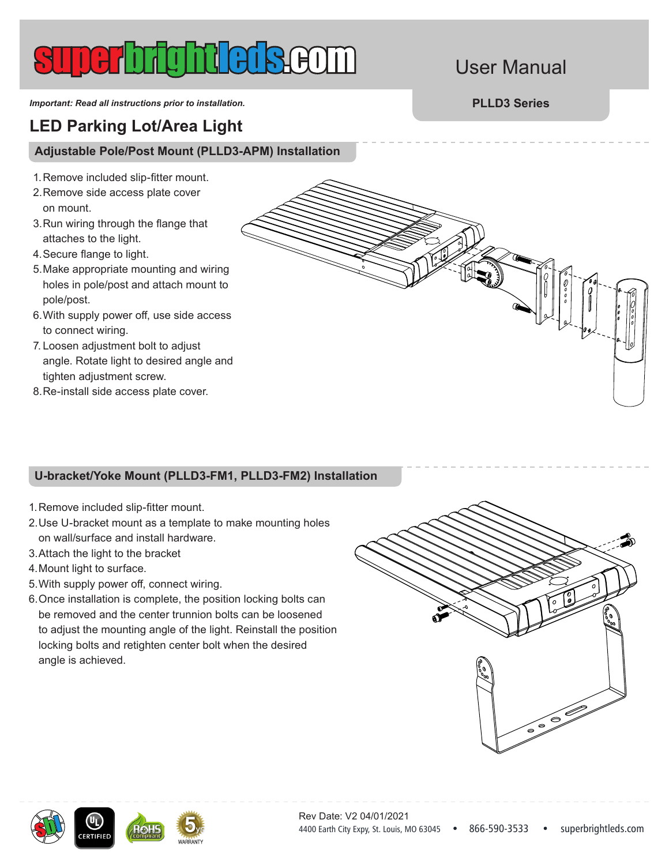# User Manual

*Important: Read all instructions prior to installation.* **PLLD3 Series**

## **LED Parking Lot/Area Light**

### **Adjustable Pole/Post Mount (PLLD3-APM) Installation**

- 1.Remove included slip-fitter mount.
- 2.Remove side access plate cover on mount.
- 3.Run wiring through the flange that attaches to the light.
- 4.Secure flange to light.
- 5.Make appropriate mounting and wiring holes in pole/post and attach mount to pole/post.
- 6.With supply power off, use side access to connect wiring.
- 7. Loosen adjustment bolt to adjust angle. Rotate light to desired angle and tighten adjustment screw.
- 8.Re-install side access plate cover.

### **U-bracket/Yoke Mount (PLLD3-FM1, PLLD3-FM2) Installation**

- 1.Remove included slip-fitter mount.
- 2.Use U-bracket mount as a template to make mounting holes on wall/surface and install hardware.
- 3.Attach the light to the bracket
- 4.Mount light to surface.
- 5.With supply power off, connect wiring.
- 6.Once installation is complete, the position locking bolts can be removed and the center trunnion bolts can be loosened to adjust the mounting angle of the light. Reinstall the position locking bolts and retighten center bolt when the desired angle is achieved.